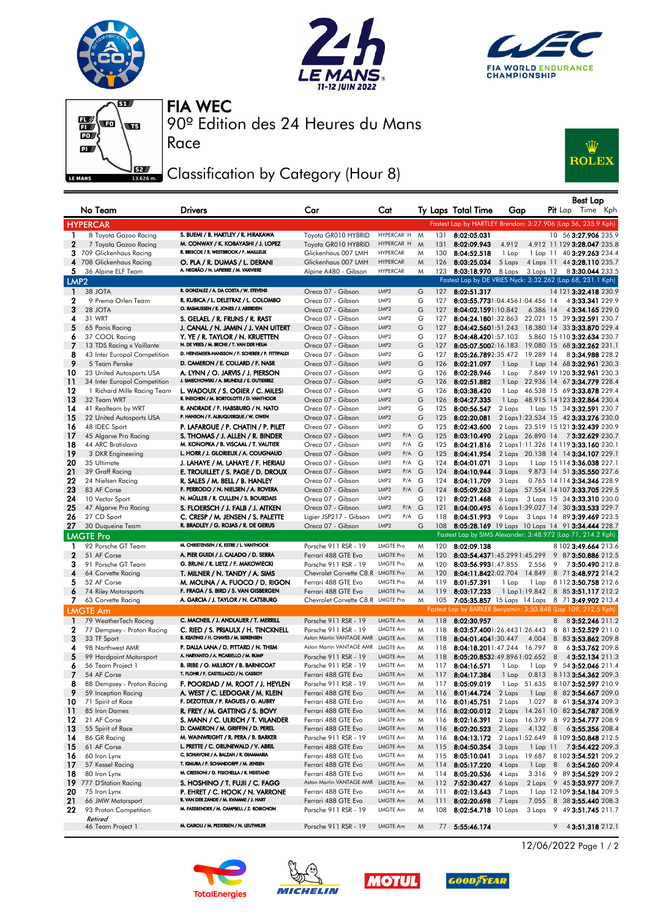







Race

90º Edition des 24 Heures du Mans FIA WEC

## Classification by Category (Hour 8)



|                   |                                                           |                                                                                  |                                                                        |                                      |        |            |                                                     |                  |               |     | <b>Best Lap</b>                                                                |
|-------------------|-----------------------------------------------------------|----------------------------------------------------------------------------------|------------------------------------------------------------------------|--------------------------------------|--------|------------|-----------------------------------------------------|------------------|---------------|-----|--------------------------------------------------------------------------------|
|                   | No Team                                                   | <b>Drivers</b>                                                                   | Car                                                                    | Cat                                  |        |            | Ty Laps Total Time                                  | Gap              |               |     | Pit Lap Time Kph                                                               |
|                   | <b>HYPERCAR</b>                                           |                                                                                  |                                                                        |                                      |        |            |                                                     |                  |               |     | Fastest Lap by HARTLEY Brendon: 3:27.906 (Lap 56, 235.9 Kph)                   |
| 1                 | 8 Toyota Gazoo Racing                                     | S. BUEMI / B. HARTLEY / R. HIRAKAWA                                              | Toyota GR010 HYBRID                                                    | HYPERCAR H M                         |        | 131        | 8:02:05.031                                         |                  |               |     | 10 56 3:27.906 235.9                                                           |
| $\mathbf{2}$      | 7 Toyota Gazoo Racing                                     | M. CONWAY / K. KOBAYASHI / J. LOPEZ                                              | Toyota GR010 HYBRID                                                    | HYPERCAR H                           | M      | 131        | 8:02:09.943                                         | 4.912            |               |     | 4.912 11 129 3:28.047 235.8                                                    |
|                   | 3 709 Glickenhaus Racing                                  | R. BRISCOE / R. WESTBROOK / F. MAILLEUX                                          | Glickenhaus 007 LMH                                                    | <b>HYPERCAR</b>                      | M      | 130        | 8:04:52.518                                         | 1 Lap            |               |     | 1 Lap 11 40 3:29.263 234.4                                                     |
| 4<br>5.           | 708 Glickenhaus Racing<br>36 Alpine ELF Team              | O. PLA / R. DUMAS / L. DERANI<br>A. NEGRÃO / N. LAPIERRE / M. VAXIVIERE          | Glickenhaus 007 LMH<br>Alpine A480 - Gibson                            | <b>HYPERCAR</b><br><b>HYPERCAR</b>   | M<br>M | 126        | 8:03:25.034<br>123 8:03:18.970 8 Laps               | 5 Laps           |               |     | 4 Laps 11 44 3:28.110 235.7<br>3 Laps 12 8 3:30.044 233.5                      |
| LMP <sub>2</sub>  |                                                           |                                                                                  |                                                                        |                                      |        |            |                                                     |                  |               |     | Fastest Lap by DE VRIES Nyck: 3:32.262 (Lap 68, 231.1 Kph)                     |
| -1                | 38 JOTA                                                   | R. GONZALEZ / A. DA COSTA / W. STEVENS                                           | Oreca 07 - Gibson                                                      | LMP <sub>2</sub>                     | G      | 127        | 8:02:51.317                                         |                  |               |     | 14 121 3:32.418 230.9                                                          |
| 2                 | 9 Prema Orlen Team                                        | R. KUBICA / L. DELETRAZ / L. COLOMBO                                             | Oreca 07 - Gibson                                                      | LMP2                                 | G      | 127        | 8:03:55.7731:04.4561:04.456 14                      |                  |               |     | 43:33.341 229.9                                                                |
| 3                 | 28 JOTA                                                   | O. RASMUSSEN / E. JONES / J. ABERDEIN                                            | Oreca 07 - Gibson                                                      | LMP2                                 | G      | 127        | 8:04:02.1591:10.842                                 |                  | 6.386 14      |     | 4 3:34.165 229.0                                                               |
| 4                 | 31 WRT                                                    | S. GELAEL / R. FRIJNS / R. RAST                                                  | Oreca 07 - Gibson                                                      | LMP2                                 | G      | 127        |                                                     |                  |               |     | 8:04:24.1801:32.863 22.021 15 39 3:32.591 230.7                                |
| 5                 | 65 Panis Racing                                           | J. CANAL / N. JAMIN / J. VAN UITERT                                              | Oreca 07 - Gibson                                                      | LMP2                                 | G      | 127        |                                                     |                  |               |     | 8:04:42.5601:51.243 18.380 14 33 3:33.870 229.4                                |
| 6<br>7            | 37 COOL Racing                                            | Y. YE / R. TAYLOR / N. KRUETTEN<br>N. DE VRIES / M. BECHE / T. VAN DER HELM      | Oreca 07 - Gibson<br>Oreca 07 - Gibson                                 | LMP2<br>LMP2                         | G<br>G | 127<br>127 | 8:04:48.4201:57.103                                 |                  |               |     | 5.860 15 110 3:32.634 230.7<br>8:05:07.5002:16.183 19.080 15 68 3:32.262 231.1 |
| 8                 | 13 TDS Racing x Vaillante<br>43 Inter Europol Competition | D. HEINEMEIER-HANSSON / F. SCHERER / P. FITTIPALDI                               | Oreca 07 - Gibson                                                      | LMP2                                 | G      | 127        | 8:05:26.7892:35.472 19.289 14                       |                  |               |     | 83:34.988 228.2                                                                |
| 9                 | 5 Team Penske                                             | D. CAMERON / E. COLLARD / F. NASR                                                | Oreca 07 - Gibson                                                      | LMP2                                 | G      | 126        | 8:02:21.097                                         | 1 Lap            |               |     | 1 Lap 14 68 3:32.961 230.3                                                     |
| 10                | 23 United Autosports USA                                  | A. LYNN / O. JARVIS / J. PIERSON                                                 | Oreca 07 - Gibson                                                      | LMP2                                 | G      | 126        | 8:02:28.946                                         | 1 Lap            |               |     | 7.849 19 120 3:32.961 230.3                                                    |
| 11                | 34 Inter Europol Competition                              | J. SMIECHOWSKI / A. BRUNDLE / E. GUTIERREZ                                       | Oreca 07 - Gibson                                                      | LMP2                                 | G      | 126        | 8:02:51.882                                         |                  |               |     | 1 Lap 22.936 14 67 3:34.779 228.4                                              |
| 12                | 1 Richard Mille Racing Team                               | L. WADOUX / S. OGIER / C. MILESI                                                 | Oreca 07 - Gibson                                                      | LMP2                                 | G      | 126        | 8:03:38.420                                         |                  |               |     | 1 Lap 46.538 15 69 3:33.878 229.4                                              |
| 13                | 32 Team WRT                                               | R. INEICHEN / M. BORTOLOTTI / D. VANTHOOR                                        | Oreca 07 - Gibson                                                      | LMP2                                 | G      | 126        | 8:04:27.335                                         | $1$ Lap          |               |     | 48.915 14 123 3:32.864 230.4                                                   |
| 14<br>15          | 41 Realteam by WRT<br>22 United Autosports USA            | R. ANDRADE / F. HABSBURG / N. NATO<br>P. HANSON / F. ALBUQUERQUE / W. OWEN       | Oreca 07 - Gibson<br>Oreca 07 - Gibson                                 | LMP2<br>LMP2                         | G<br>G | 125<br>125 | 8:00:56.547<br>8:02:20.081                          | 2 Laps           |               |     | 1 Lap 15 34 3:32.591 230.7<br>2 Laps 1:23.534 15 42 3:33.276 230.0             |
| 16                | 48 IDEC Sport                                             | P. LAFARGUE / P. CHATIN / P. PILET                                               | Oreca 07 - Gibson                                                      | LMP2                                 | G      | 125        | 8:02:43.600                                         |                  |               |     | 2 Laps 23.519 15 121 3:32.439 230.9                                            |
| 17                | 45 Algarve Pro Racing                                     | S. THOMAS / J. ALLEN / R. BINDER                                                 | Oreca 07 - Gibson                                                      | LMP2<br>P/A                          | G      | 125        | 8:03:10.490                                         |                  |               |     | 2 Laps 26.890 14 73:32.629 230.7                                               |
| 18                | 44 ARC Bratislava                                         | M. KONOPKA / B. VISCAAL / T. VAUTIER                                             | Oreca 07 - Gibson                                                      | LMP2<br>P/A G                        |        | 125        | 8:04:21.816                                         |                  |               |     | 2 Laps 1:11.326 14 119 3:33.160 230.1                                          |
| 19                | 3 DKR Engineering                                         | L. HORR / J. GLORIEUX / A. COUGNAUD                                              | Oreca 07 - Gibson                                                      | LMP2<br>P/A                          | G      | 125        | 8:04:41.954                                         |                  |               |     | 2 Laps 20.138 14 14 3:34.107 229.1                                             |
| 20                | 35 Ultimate                                               | J. LAHAYE / M. LAHAYE / F. HERIAU                                                | Oreca 07 - Gibson                                                      | LMP2<br>P/A G                        |        | 124        | 8:04:01.071                                         | 3 Laps           |               |     | 1 Lap 15 114 3:36.038 227.1                                                    |
| 21                | 39 Graff Racing                                           | E. TROUILLET / S. PAGE / D. DROUX                                                | Oreca 07 - Gibson                                                      | LMP2<br>$P/A$ G<br>LMP2              |        | 124        | 8:04:10.944                                         | 3 Laps           |               |     | 9.873 14 51 3:35.550 227.6                                                     |
| 22<br>23          | 24 Nielsen Racing<br>83 AF Corse                          | R. SALES / M. BELL / B. HANLEY<br>F. PERRODO / N. NIELSEN / A. ROVERA            | Oreca 07 - Gibson<br>Oreca 07 - Gibson                                 | P/A G<br>LMP2<br>$P/A$ $G$           |        | 124<br>124 | 8:04:11.709<br>8:05:09.263                          | 3 Laps           |               |     | 0.765 14 114 3:34.346 228.9<br>3 Laps 57.554 14 107 3:33.705 229.5             |
| 24                | 10 Vector Sport                                           | N. MÜLLER / R. CULLEN / S. BOURDAIS                                              | Oreca 07 - Gibson                                                      | LMP2                                 | G      | 121        | 8:02:21.468                                         | 6 Laps           |               |     | 3 Laps 15 34 <b>3:33.310</b> 230.0                                             |
| 25                | 47 Algarve Pro Racing                                     | S. FLOERSCH / J. FALB / J. AITKEN                                                | Oreca 07 - Gibson                                                      | LMP2<br>$P/A$ $G$                    |        | 121        | 8:04:00.495                                         |                  |               |     | 6 Laps 1:39.027 14 30 3:33.533 229.7                                           |
| 26                | 27 CD Sport                                               | C. CRESP / M. JENSEN / S. PALETTE                                                | Ligier JSP217 - Gibson                                                 | LMP2<br>$P/A$ G                      |        | 118        | 8:04:51.993                                         | 9 Laps           |               |     | 3 Laps 14 89 3:39.469 223.5                                                    |
| 27                | 30 Duqueine Team                                          | R. BRADLEY / G. ROJAS / R. DE GERUS                                              | Oreca 07 - Gibson                                                      | LMP2                                 | G      | 108        |                                                     |                  |               |     | 8:05:28.169 19 Laps 10 Laps 14 91 3:34.444 228.7                               |
|                   | <b>LMGTE Pro</b>                                          |                                                                                  |                                                                        |                                      |        |            |                                                     |                  |               |     | Fastest Lap by SIMS Alexander: 3:48.972 (Lap 71, 214.2 Kph)                    |
| 1                 | 92 Porsche GT Team                                        | M. CHRISTENSEN / K. ESTRE / L. VANTHOOR                                          | Porsche 911 RSR - 19                                                   | <b>LMGTE Pro</b>                     | M      | 120        | 8:02:09.138                                         |                  |               |     | 8 102 3:49.664 213.6                                                           |
| $\mathbf{2}$<br>з | 51 AF Corse                                               | A. PIER GUIDI / J. CALADO / D. SERRA<br>G. BRUNI / R. LIETZ / F. MAKOWIECKI      | Ferrari 488 GTE Evo                                                    | <b>LMGTE Pro</b><br><b>LMGTE Pro</b> | M      | 120<br>120 | 8:03:54.4371:45.2991:45.299                         |                  | 2.556         |     | 9 87 3:50.886 212.5                                                            |
| 4                 | 91 Porsche GT Team<br>64 Corvette Racing                  | T. MILNER / N. TANDY / A. SIMS                                                   | Porsche 911 RSR - 19<br>Chevrolet Corvette C8.R LMGTE Pro              |                                      | M<br>M | 120        | 8:03:56.9931:47.855<br>8:04:11.8422:02.704 14.849   |                  |               | - 9 | 7 3:50.490 212.8<br>8 71 3:48.972 214.2                                        |
| 5                 | 52 AF Corse                                               | M. MOLINA / A. FUOCO / D. RIGON                                                  | Ferrari 488 GTE Evo                                                    | <b>LMGTE Pro</b>                     | M      | 119        | 8:01:57.391                                         | 1 Lap            |               |     | 1 Lap 8 112 3:50.758 212.6                                                     |
| 6                 | 74 Riley Motorsports                                      | F. FRAGA / S. BIRD / S. VAN GISBERGEN                                            | Ferrari 488 GTE Evo                                                    | <b>LMGTE Pro</b>                     | M      | 119        | 8:03:17.233                                         |                  |               |     | 1 Lap 1:19.842 8 85 3:51.117 212.2                                             |
| 7.                | 63 Corvette Racing                                        | A. GARCIA / J. TAYLOR / N. CATSBURG                                              | Chevrolet Corvette C8.R LMGTE Pro                                      |                                      | M      | 105        |                                                     |                  |               |     | 7:05:35.857 15 Laps 14 Laps 8 71 3:49.902 213.4                                |
|                   | <b>LMGTE Am</b>                                           |                                                                                  |                                                                        |                                      |        |            |                                                     |                  |               |     | Fastest Lap by BARKER Benjamin: 3:50.848 (Lap 109, 212.5 Kph)                  |
| $\mathbf{1}$      | 79 WeatherTech Racing                                     | C. MACNEIL / J. ANDLAUER / T. MERRILL                                            | Porsche 911 RSR - 19                                                   | LMGTE Am                             | M      | 118        | 8:02:30.957                                         |                  |               |     | 8 8 3:52.246 211.2                                                             |
| 2                 | 77 Dempsey - Proton Racing                                | C. RIED / S. PRIAULX / H. TINCKNELL<br>B. KEATING / H. CHAVES / M. SØRENSEN      | Porsche 911 RSR - 19                                                   | LMGTE Am                             | M      | 118        | 8:03:57.4001:26.4431:26.443                         |                  |               |     | 8 81 3:52.529 211.0                                                            |
| 3<br>4            | 33 TF Sport<br>98 Northwest AMR                           | P. DALLA LANA / D. PITTARD / N. THIIM                                            | Aston Martin VANTAGE AMR LMGTE Am<br>Aston Martin VANTAGE AMR LMGTE Am |                                      | M<br>M | 118<br>118 | 8:04:01.4041:30.447<br>8:04:18.2011:47.244 16.797 8 |                  |               |     | 4.004 8 83 3:53.862 209.8<br>63:53.762 209.8                                   |
| 5                 | 99 Hardpoint Motorsport                                   | A. HARYANTO / A. PICARIELLO / M. RUMP                                            | Porsche 911 RSR - 19                                                   | LMGTE Am                             | M      | 118        | 8:05:20.8532:49.8961:02.652 8                       |                  |               |     | 4 3:52.134 211.3                                                               |
| 6                 | 56 Team Project 1                                         | B. IRIBE / O. MILLROY / B. BARNICOAT                                             | Porsche 911 RSR - 19                                                   | LMGTE Am                             | M      | 117        | 8:04:16.571                                         | 1 Lap            |               |     | 1 Lap 9 54 3:52.046 211.4                                                      |
| 7                 | 54 AF Corse                                               | T. FLOHR / F. CASTELLACCI / N. CASSIDY                                           | Ferrari 488 GTE Evo                                                    | LMGTE Am                             | M      |            |                                                     |                  |               |     | 117 8:04:17.384 1 Lap 0.813 8 113 3:54.362 209.3                               |
| 8                 | 88 Dempsey - Proton Racing                                | F. POORDAD / M. ROOT / J. HEYLEN                                                 | Porsche 911 RSR - 19                                                   | LMGTE Am                             | M      | 117        | 8:05:09.019                                         |                  |               |     | 1 Lap 51.635 8 107 3:52.597 210.9                                              |
| 9                 | 59 Inception Racing                                       | A. WEST / C. LEDOGAR / M. KLEIN<br>F. DEZOTEUX / P. RAGUES / G. AUBRY            | Ferrari 488 GTE Evo                                                    | LMGTE Am                             | M      | 116        | 8:01:44.724                                         | 2 Laps           |               |     | 1 Lap 8 82 3:54.667 209.0                                                      |
| 10<br>11          | 71 Spirit of Race<br>85 Iron Dames                        | R. FREY / M. GATTING / S. BOVY                                                   | Ferrari 488 GTE Evo<br>Ferrari 488 GTE Evo                             | LMGTE Am<br>LMGTE Am                 | M<br>M | 116<br>116 | 8:01:45.751<br>8:02:00.012                          | 2 Laps           |               |     | 1.027 8 61 <b>3:54.374</b> 209.3<br>2 Laps 14.261 10 82 3:54.787 208.9         |
| 12                | 21 AF Corse                                               | S. MANN / C. ULRICH / T. VILANDER                                                | Ferrari 488 GTE Evo                                                    | LMGTE Am                             | M      | 116        | 8:02:16.391                                         |                  | 2 Laps 16.379 |     | 8 92 3:54.777 208.9                                                            |
| 13                | 55 Spirit of Race                                         | D. CAMERON / M. GRIFFIN / D. PEREL                                               | Ferrari 488 GTE Evo                                                    | LMGTE Am                             | M      | 116        | 8:02:20.523                                         | 2 Laps           | 4.132 8       |     | 6 3:55.356 208.4                                                               |
| 14                | 86 GR Racing                                              | M. WAINWRIGHT / R. PERA / B. BARKER                                              | Porsche 911 RSR - 19                                                   | LMGTE Am                             | M      | 116        | 8:04:13.172                                         |                  |               |     | 2 Laps 1:52.649 8 109 3:50.848 212.5                                           |
| 15                | 61 AF Corse                                               | L. PRETTE / C. GRUNEWALD / V. ABRIL                                              | Ferrari 488 GTE Evo                                                    | LMGTE Am                             | M      | 115        | 8:04:50.354                                         | 3 Laps           | 1 Lap 11      |     | 7 3:54.422 209.3                                                               |
| 16                | 60 Iron Lynx                                              | C. SCHIAVONI / A. BALZAN / R. GIAMMARIA<br>T. KIMURA / F. SCHANDORFF / M. JENSEN | Ferrari 488 GTE Evo                                                    | LMGTE Am                             | M      | 115        | 8:05:10.041                                         |                  |               |     | 3 Laps 19.687 8 102 3:54.521 209.2                                             |
| 17<br>18          | 57 Kessel Racing                                          | M. CRESSONI / G. FISICHELLA / R. HEISTAND                                        | Ferrari 488 GTE Evo                                                    | LMGTE Am<br>LMGTE Am                 | M<br>M | 114        | 8:05:17.220                                         | 4 Laps           |               |     | 1 Lap 8 63:54.260 209.4                                                        |
| 19                | 80 Iron Lynx<br>777 D'Station Racing                      | S. HOSHINO / T. FUJII / C. FAGG                                                  | Ferrari 488 GTE Evo<br>Aston Martin VANTAGE AMR                        | LMGTE Am                             | M      | 114<br>112 | 8:05:20.536<br>7:52:30.427                          | 4 Laps<br>6 Laps |               |     | 3.316 9 89 3:54.529 209.2<br>2 Laps 9 45 3:53.977 209.7                        |
| 20                | 75 Iron Lynx                                              | P. EHRET / C. HOOK / N. VARRONE                                                  | Ferrari 488 GTE Evo                                                    | LMGTE Am                             | M      | 111        | 8:02:13.643                                         | 7 Laps           |               |     | 1 Lap 12 109 3:54.184 209.5                                                    |
| 21                | 66 JMW Motorsport                                         | R. VAN DER ZANDE / M. KVAMME / J. HART                                           | Ferrari 488 GTE Evo                                                    | LMGTE Am                             | M      | 111        | 8:02:20.698                                         | 7 Laps           |               |     | 7.055 8 38 3:55.440 208.3                                                      |
| 22                | 93 Proton Competition                                     | M. FASSBENDER / M. CAMPBELL / Z. ROBICHON                                        | Porsche 911 RSR - 19                                                   | LMGTE Am                             | M      | 108        |                                                     |                  |               |     | 8:02:54.718 10 Laps 3 Laps 9 49 3:51.745 211.7                                 |
|                   | Retired                                                   | M. CAIROLI / M. PEDERSEN / N. LEUTWILER                                          |                                                                        | LMGTE Am                             |        |            |                                                     |                  |               |     |                                                                                |
|                   | 46 Team Project 1                                         |                                                                                  | Porsche 911 RSR - 19                                                   |                                      | M      | 77         | 5:55:46.174                                         |                  |               | 9   | 4 3:51.318 212.1                                                               |









12/06/2022 Page 1 / 2